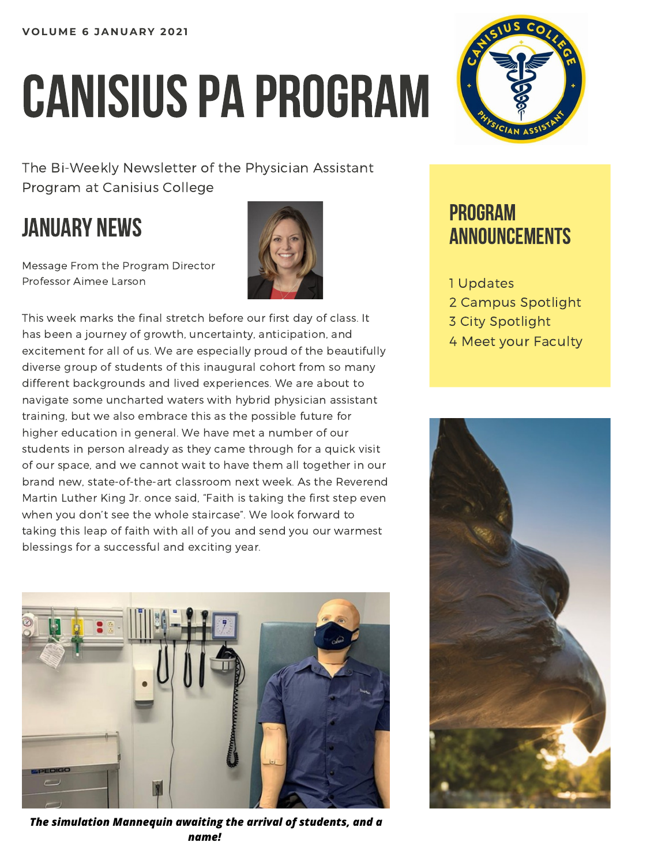# CANISIUS PA PROGRAM

The Bi-Weekly Newsletter of the Physician Assistant Program at Canisius College

## JANUARY NEWS

Message From the Program Director Professor Aimee Larson



This week marks the final stretch before our first day of class. It has been a journey of growth, uncertainty, anticipation, and excitement for all of us. We are especially proud of the beautifully diverse group of students of this inaugural cohort from so many different backgrounds and lived experiences. We are about to navigate some uncharted waters with hybrid physician assistant training, but we also embrace this as the possible future for higher education in general. We have met a number of our students in person already as they came through for a quick visit of our space, and we cannot wait to have them all together in our brand new, state-of-the-art classroom next week. As the Reverend Martin Luther King Jr. once said, "Faith is taking the first step even when you don't see the whole staircase". We look forward to taking this leap of faith with all of you and send you our warmest blessings for a successful and exciting year.



*The simulation Mannequin awaiting the arrival of students, and a name!*



## PROGRAM **ANNOUNCEMENTS**

- 1 Updates
- 2 Campus Spotlight
- 3 City Spotlight
- 4 Meet your Faculty